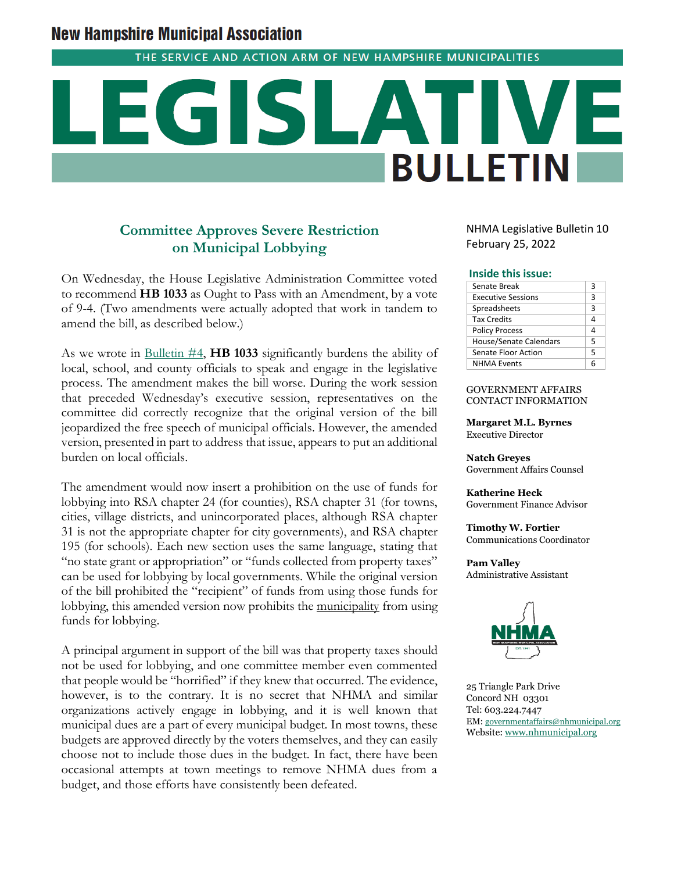# **New Hampshire Municipal Association**

THE SERVICE AND ACTION ARM OF NEW HAMPSHIRE MUNICIPALITIES

# $\left($ **BULLETIN**

## **Committee Approves Severe Restriction on Municipal Lobbying**

On Wednesday, the House Legislative Administration Committee voted to recommend **HB 1033** as Ought to Pass with an Amendment, by a vote of 9-4. (Two amendments were actually adopted that work in tandem to amend the bill, as described below.)

As we wrote in [Bulletin #4,](https://www.nhmunicipal.org/legislative-bulletin/2022-nhma-legislative-bulletin-04) **HB 1033** significantly burdens the ability of local, school, and county officials to speak and engage in the legislative process. The amendment makes the bill worse. During the work session that preceded Wednesday's executive session, representatives on the committee did correctly recognize that the original version of the bill jeopardized the free speech of municipal officials. However, the amended version, presented in part to address that issue, appears to put an additional burden on local officials.

The amendment would now insert a prohibition on the use of funds for lobbying into RSA chapter 24 (for counties), RSA chapter 31 (for towns, cities, village districts, and unincorporated places, although RSA chapter 31 is not the appropriate chapter for city governments), and RSA chapter 195 (for schools). Each new section uses the same language, stating that "no state grant or appropriation" or "funds collected from property taxes" can be used for lobbying by local governments. While the original version of the bill prohibited the "recipient" of funds from using those funds for lobbying, this amended version now prohibits the municipality from using funds for lobbying.

A principal argument in support of the bill was that property taxes should not be used for lobbying, and one committee member even commented that people would be "horrified" if they knew that occurred. The evidence, however, is to the contrary. It is no secret that NHMA and similar organizations actively engage in lobbying, and it is well known that municipal dues are a part of every municipal budget. In most towns, these budgets are approved directly by the voters themselves, and they can easily choose not to include those dues in the budget. In fact, there have been occasional attempts at town meetings to remove NHMA dues from a budget, and those efforts have consistently been defeated.

NHMA Legislative Bulletin 10 February 25, 2022

#### **Inside this issue:**

| Senate Break                  | 3 |
|-------------------------------|---|
| <b>Executive Sessions</b>     | 3 |
| Spreadsheets                  | 3 |
| <b>Tax Credits</b>            | 4 |
| <b>Policy Process</b>         | 4 |
| <b>House/Senate Calendars</b> | 5 |
| Senate Floor Action           | 5 |
| <b>NHMA Events</b>            | ĥ |

#### GOVERNMENT AFFAIRS CONTACT INFORMATION

**Margaret M.L. Byrnes** Executive Director

**Natch Greyes** Government Affairs Counsel

**Katherine Heck** Government Finance Advisor

**Timothy W. Fortier** Communications Coordinator

**Pam Valley** Administrative Assistant



25 Triangle Park Drive Concord NH 03301 Tel: 603.224.7447 EM: [governmentaffairs@nhmunicipal.org](mailto:governmentaffairs@nhmunicipal.org) Website: [www.nhmunicipal.org](http://www.nhmunicipal.org/)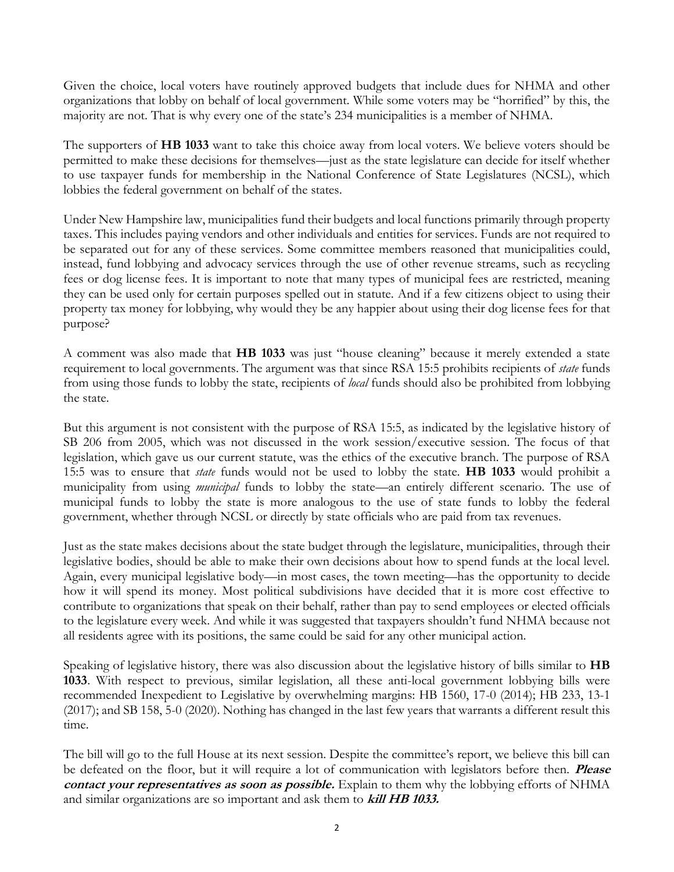Given the choice, local voters have routinely approved budgets that include dues for NHMA and other organizations that lobby on behalf of local government. While some voters may be "horrified" by this, the majority are not. That is why every one of the state's 234 municipalities is a member of NHMA.

The supporters of **HB 1033** want to take this choice away from local voters. We believe voters should be permitted to make these decisions for themselves—just as the state legislature can decide for itself whether to use taxpayer funds for membership in the National Conference of State Legislatures (NCSL), which lobbies the federal government on behalf of the states.

Under New Hampshire law, municipalities fund their budgets and local functions primarily through property taxes. This includes paying vendors and other individuals and entities for services. Funds are not required to be separated out for any of these services. Some committee members reasoned that municipalities could, instead, fund lobbying and advocacy services through the use of other revenue streams, such as recycling fees or dog license fees. It is important to note that many types of municipal fees are restricted, meaning they can be used only for certain purposes spelled out in statute. And if a few citizens object to using their property tax money for lobbying, why would they be any happier about using their dog license fees for that purpose?

A comment was also made that **HB 1033** was just "house cleaning" because it merely extended a state requirement to local governments. The argument was that since RSA 15:5 prohibits recipients of *state* funds from using those funds to lobby the state, recipients of *local* funds should also be prohibited from lobbying the state.

But this argument is not consistent with the purpose of RSA 15:5, as indicated by the legislative history of SB 206 from 2005, which was not discussed in the work session/executive session. The focus of that legislation, which gave us our current statute, was the ethics of the executive branch. The purpose of RSA 15:5 was to ensure that *state* funds would not be used to lobby the state. **HB 1033** would prohibit a municipality from using *municipal* funds to lobby the state—an entirely different scenario. The use of municipal funds to lobby the state is more analogous to the use of state funds to lobby the federal government, whether through NCSL or directly by state officials who are paid from tax revenues.

Just as the state makes decisions about the state budget through the legislature, municipalities, through their legislative bodies, should be able to make their own decisions about how to spend funds at the local level. Again, every municipal legislative body—in most cases, the town meeting—has the opportunity to decide how it will spend its money. Most political subdivisions have decided that it is more cost effective to contribute to organizations that speak on their behalf, rather than pay to send employees or elected officials to the legislature every week. And while it was suggested that taxpayers shouldn't fund NHMA because not all residents agree with its positions, the same could be said for any other municipal action.

Speaking of legislative history, there was also discussion about the legislative history of bills similar to **HB 1033**. With respect to previous, similar legislation, all these anti-local government lobbying bills were recommended Inexpedient to Legislative by overwhelming margins: HB 1560, 17-0 (2014); HB 233, 13-1 (2017); and SB 158, 5-0 (2020). Nothing has changed in the last few years that warrants a different result this time.

The bill will go to the full House at its next session. Despite the committee's report, we believe this bill can be defeated on the floor, but it will require a lot of communication with legislators before then. **Please contact your representatives as soon as possible.** Explain to them why the lobbying efforts of NHMA and similar organizations are so important and ask them to **kill HB 1033.**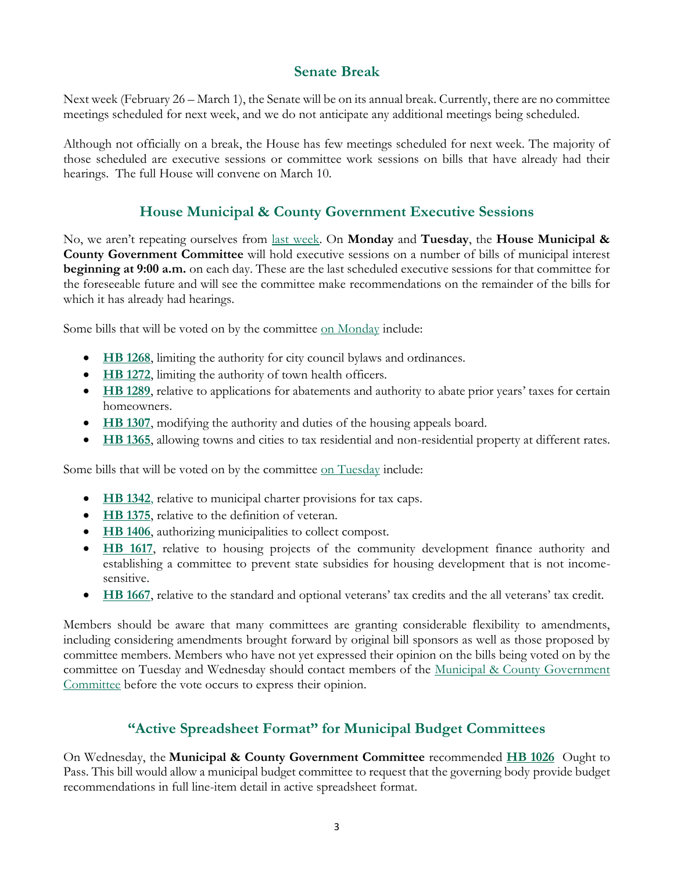## **Senate Break**

Next week (February 26 – March 1), the Senate will be on its annual break. Currently, there are no committee meetings scheduled for next week, and we do not anticipate any additional meetings being scheduled.

Although not officially on a break, the House has few meetings scheduled for next week. The majority of those scheduled are executive sessions or committee work sessions on bills that have already had their hearings. The full House will convene on March 10.

## **House Municipal & County Government Executive Sessions**

No, we aren't repeating ourselves from [last week.](https://www.nhmunicipal.org/legislative-bulletin/2022-nhma-legislative-bulletin-09#26681) On **Monday** and **Tuesday**, the **House Municipal & County Government Committee** will hold executive sessions on a number of bills of municipal interest **beginning at 9:00 a.m.** on each day. These are the last scheduled executive sessions for that committee for the foreseeable future and will see the committee make recommendations on the remainder of the bills for which it has already had hearings.

Some bills that will be voted on by the committee [on Monday](http://www.gencourt.state.nh.us/house/schedule/eventDetails.aspx?event=7005&et=11) include:

- **[HB 1268](http://www.gencourt.state.nh.us/bill_status/pdf.aspx?id=27739&q=billVersion)**, limiting the authority for city council bylaws and ordinances.
- **[HB 1272](http://www.gencourt.state.nh.us/bill_status/pdf.aspx?id=27743&q=billVersion)**, limiting the authority of town health officers.
- **[HB 1289](http://www.gencourt.state.nh.us/bill_status/pdf.aspx?id=27777&q=billVersion)**, relative to applications for abatements and authority to abate prior years' taxes for certain homeowners.
- **[HB 1307](http://www.gencourt.state.nh.us/bill_status/pdf.aspx?id=27800&q=billVersion)**, modifying the authority and duties of the housing appeals board.
- **[HB 1365](http://www.gencourt.state.nh.us/bill_status/pdf.aspx?id=27866&q=billVersion)**, allowing towns and cities to tax residential and non-residential property at different rates.

Some bills that will be voted on by the committee [on Tuesday](http://www.gencourt.state.nh.us/house/schedule/eventDetails.aspx?event=7006&et=11) include:

- **[HB 1342](http://www.gencourt.state.nh.us/bill_status/pdf.aspx?id=27846&q=billVersion)**, relative to municipal charter provisions for tax caps.
- **[HB 1375](http://www.gencourt.state.nh.us/bill_status/pdf.aspx?id=27877&q=billVersion)**, relative to the definition of veteran.
- **[HB 1406](http://www.gencourt.state.nh.us/bill_status/pdf.aspx?id=28293&q=billVersion)**, authorizing municipalities to collect compost.
- **[HB 1617](http://www.gencourt.state.nh.us/bill_status/pdf.aspx?id=29523&q=billVersion)**, relative to housing projects of the community development finance authority and establishing a committee to prevent state subsidies for housing development that is not incomesensitive.
- **[HB 1667](http://www.gencourt.state.nh.us/bill_status/pdf.aspx?id=29873&q=billVersion)**, relative to the standard and optional veterans' tax credits and the all veterans' tax credit.

Members should be aware that many committees are granting considerable flexibility to amendments, including considering amendments brought forward by original bill sponsors as well as those proposed by committee members. Members who have not yet expressed their opinion on the bills being voted on by the committee on Tuesday and Wednesday should contact members of the [Municipal & County Government](http://www.gencourt.state.nh.us/house/committees/committeedetails.aspx?id=11)  [Committee](http://www.gencourt.state.nh.us/house/committees/committeedetails.aspx?id=11) before the vote occurs to express their opinion.

## **"Active Spreadsheet Format" for Municipal Budget Committees**

On Wednesday, the **[Municipal & County Government Committee](http://gencourt.state.nh.us/house/committees/committeedetails.aspx?id=11)** recommended **[HB 1026](http://www.gencourt.state.nh.us/bill_status/pdf.aspx?id=26030&q=billVersion)** Ought to Pass. This bill would allow a municipal budget committee to request that the governing body provide budget recommendations in full line-item detail in active spreadsheet format.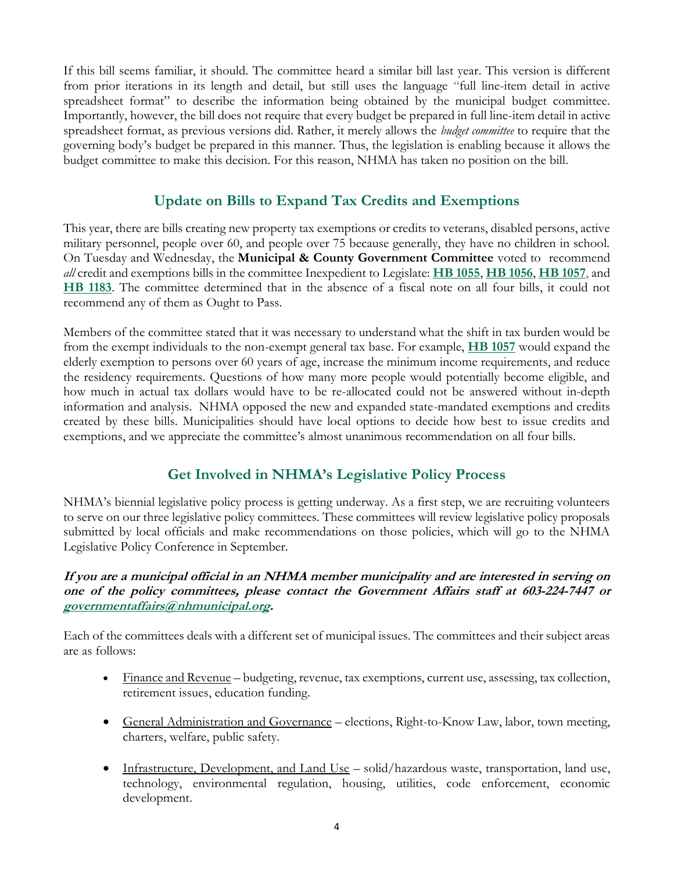If this bill seems familiar, it should. The committee heard a similar bill last year. This version is different from prior iterations in its length and detail, but still uses the language "full line-item detail in active spreadsheet format" to describe the information being obtained by the municipal budget committee. Importantly, however, the bill does not require that every budget be prepared in full line-item detail in active spreadsheet format, as previous versions did. Rather, it merely allows the *budget committee* to require that the governing body's budget be prepared in this manner. Thus, the legislation is enabling because it allows the budget committee to make this decision. For this reason, NHMA has taken no position on the bill.

## **Update on Bills to Expand Tax Credits and Exemptions**

This year, there are bills creating new property tax exemptions or credits to veterans, disabled persons, active military personnel, people over 60, and people over 75 because generally, they have no children in school. On Tuesday and Wednesday, the **Municipal & County Government Committee** voted to recommend *all* credit and exemptions bills in the committee Inexpedient to Legislate: **[HB 1055](http://www.gencourt.state.nh.us/bill_status/pdf.aspx?id=26079&q=billVersion)**, **[HB 1056](http://www.gencourt.state.nh.us/bill_status/pdf.aspx?id=26080&q=billVersion)**, **[HB 1057](http://www.gencourt.state.nh.us/bill_status/pdf.aspx?id=26081&q=billVersion)**, and **[HB 1183](http://www.gencourt.state.nh.us/bill_status/pdf.aspx?id=27476&q=billVersion)**. The committee determined that in the absence of a fiscal note on all four bills, it could not recommend any of them as Ought to Pass.

Members of the committee stated that it was necessary to understand what the shift in tax burden would be from the exempt individuals to the non-exempt general tax base. For example, **[HB 1057](http://www.gencourt.state.nh.us/bill_status/pdf.aspx?id=26081&q=billVersion)** would expand the elderly exemption to persons over 60 years of age, increase the minimum income requirements, and reduce the residency requirements. Questions of how many more people would potentially become eligible, and how much in actual tax dollars would have to be re-allocated could not be answered without in-depth information and analysis. NHMA opposed the new and expanded state-mandated exemptions and credits created by these bills. Municipalities should have local options to decide how best to issue credits and exemptions, and we appreciate the committee's almost unanimous recommendation on all four bills.

## **Get Involved in NHMA's Legislative Policy Process**

NHMA's biennial legislative policy process is getting underway. As a first step, we are recruiting volunteers to serve on our three legislative policy committees. These committees will review legislative policy proposals submitted by local officials and make recommendations on those policies, which will go to the NHMA Legislative Policy Conference in September.

### **If you are a municipal official in an NHMA member municipality and are interested in serving on one of the policy committees, please contact the Government Affairs staff at 603-224-7447 or [governmentaffairs@nhmunicipal.org.](mailto:governmentaffairs@nhmunicipal.org)**

Each of the committees deals with a different set of municipal issues. The committees and their subject areas are as follows:

- Finance and Revenue budgeting, revenue, tax exemptions, current use, assessing, tax collection, retirement issues, education funding.
- General Administration and Governance elections, Right-to-Know Law, labor, town meeting, charters, welfare, public safety.
- Infrastructure, Development, and Land Use solid/hazardous waste, transportation, land use, technology, environmental regulation, housing, utilities, code enforcement, economic development.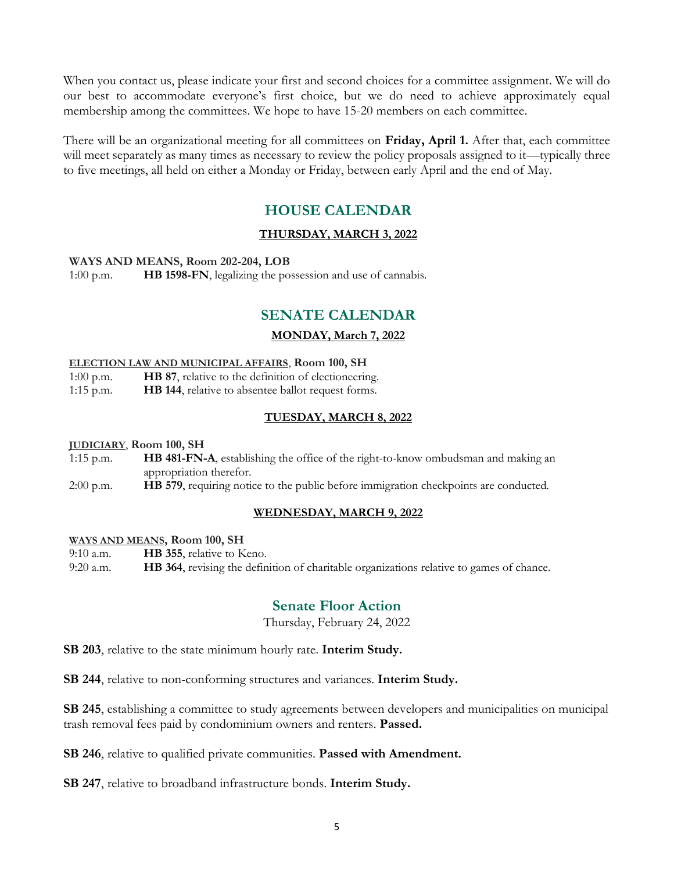When you contact us, please indicate your first and second choices for a committee assignment. We will do our best to accommodate everyone's first choice, but we do need to achieve approximately equal membership among the committees. We hope to have 15-20 members on each committee.

There will be an organizational meeting for all committees on **Friday, April 1.** After that, each committee will meet separately as many times as necessary to review the policy proposals assigned to it—typically three to five meetings, all held on either a Monday or Friday, between early April and the end of May.

## **HOUSE CALENDAR**

#### **THURSDAY, MARCH 3, 2022**

#### **WAYS AND MEANS, Room 202-204, LOB**

1:00 p.m. **HB 1598-FN**, legalizing the possession and use of cannabis.

## **SENATE CALENDAR**

#### **MONDAY, March 7, 2022**

#### **ELECTION LAW AND MUNICIPAL AFFAIRS**, **Room 100, SH**

1:00 p.m. **HB 87**, relative to the definition of electioneering. 1:15 p.m. **HB 144**, relative to absentee ballot request forms.

#### **TUESDAY, MARCH 8, 2022**

#### **JUDICIARY**, **Room 100, SH**

1:15 p.m. **HB 481-FN-A**, establishing the office of the right-to-know ombudsman and making an appropriation therefor.

2:00 p.m. **HB 579**, requiring notice to the public before immigration checkpoints are conducted.

#### **WEDNESDAY, MARCH 9, 2022**

#### **WAYS AND MEANS, Room 100, SH**

9:10 a.m. **HB 355**, relative to Keno. 9:20 a.m. **HB 364**, revising the definition of charitable organizations relative to games of chance.

## **Senate Floor Action**

Thursday, February 24, 2022

**SB 203**, relative to the state minimum hourly rate. **Interim Study.**

**SB 244**, relative to non-conforming structures and variances. **Interim Study.**

**SB 245**, establishing a committee to study agreements between developers and municipalities on municipal trash removal fees paid by condominium owners and renters. **Passed.** 

**SB 246**, relative to qualified private communities. **Passed with Amendment.** 

**SB 247**, relative to broadband infrastructure bonds. **Interim Study.**